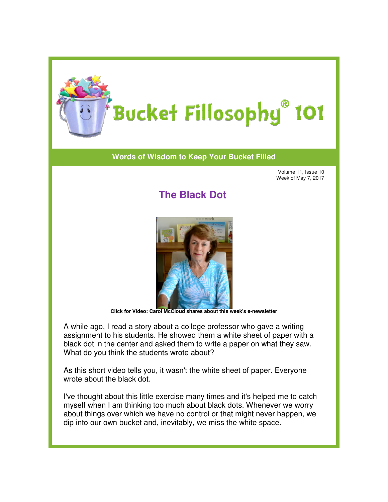

## **Words of Wisdom to Keep Your Bucket Filled of Wisdom to**

Volume 11, Issue 10 Week of May 7, 2017

## **The Black Dot**



**Click for Video: Carol McCloud shares about this week's e e-newsletter**

A while ago, I read a story about a college professor who gave a writing assignment to his students. He showed them a white sheet of paper with a black dot in the center and asked them to write a paper on what they saw. What do you think the students wrote about?

As this short video tells you, it wasn't the white sheet of paper. Everyone wrote about the black dot.

I've thought about this little exercise many times and it's helped me to catch myself when I am thinking too much about black dots. Whenever we worry about things over which we have no control or that might never happen, we dip into our own bucket and, inevitably, we miss the white space. Week of May 2020<br>
Since the center as a control of the center as a control of the black to the center and asked the black thought exercise many and the spaper with a shelped me to its students. He showed them a white a pap